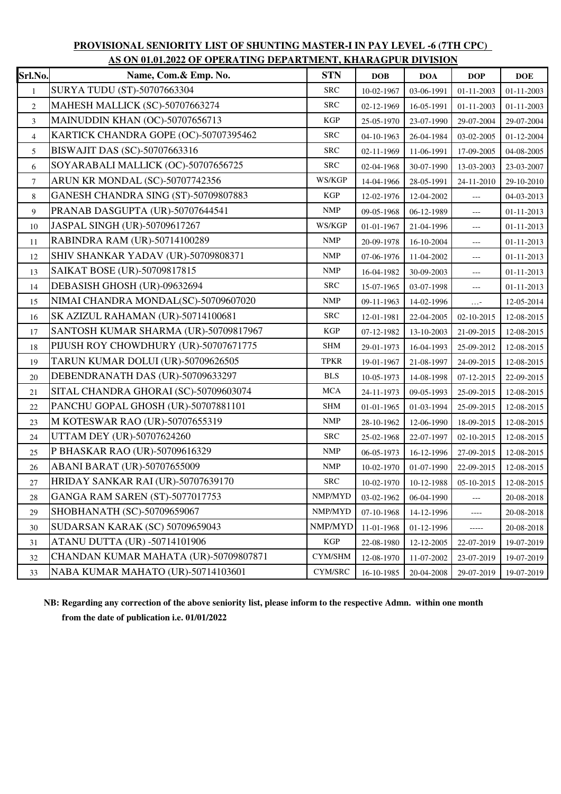| AS ON 01.01.2022 OF OPERATING DEPARTMENT, KHARAGPUR DIVISION |                                       |               |            |            |                                    |                  |  |  |
|--------------------------------------------------------------|---------------------------------------|---------------|------------|------------|------------------------------------|------------------|--|--|
| Srl.No.                                                      | Name, Com.& Emp. No.                  | <b>STN</b>    | <b>DOB</b> | <b>DOA</b> | DOP                                | <b>DOE</b>       |  |  |
| $\mathbf{1}$                                                 | SURYA TUDU (ST)-50707663304           | <b>SRC</b>    | 10-02-1967 | 03-06-1991 | 01-11-2003                         | $01 - 11 - 2003$ |  |  |
| $\overline{c}$                                               | MAHESH MALLICK (SC)-50707663274       | <b>SRC</b>    | 02-12-1969 | 16-05-1991 | 01-11-2003                         | 01-11-2003       |  |  |
| $\overline{3}$                                               | MAINUDDIN KHAN (OC)-50707656713       | <b>KGP</b>    | 25-05-1970 | 23-07-1990 | 29-07-2004                         | 29-07-2004       |  |  |
| $\overline{4}$                                               | KARTICK CHANDRA GOPE (OC)-50707395462 | <b>SRC</b>    | 04-10-1963 | 26-04-1984 | 03-02-2005                         | 01-12-2004       |  |  |
| 5                                                            | BISWAJIT DAS (SC)-50707663316         | <b>SRC</b>    | 02-11-1969 | 11-06-1991 | 17-09-2005                         | 04-08-2005       |  |  |
| 6                                                            | SOYARABALI MALLICK (OC)-50707656725   | <b>SRC</b>    | 02-04-1968 | 30-07-1990 | 13-03-2003                         | 23-03-2007       |  |  |
| $\boldsymbol{7}$                                             | ARUN KR MONDAL (SC)-50707742356       | WS/KGP        | 14-04-1966 | 28-05-1991 | 24-11-2010                         | 29-10-2010       |  |  |
| 8                                                            | GANESH CHANDRA SING (ST)-50709807883  | <b>KGP</b>    | 12-02-1976 | 12-04-2002 | $\overline{a}$                     | 04-03-2013       |  |  |
| 9                                                            | PRANAB DASGUPTA (UR)-50707644541      | <b>NMP</b>    | 09-05-1968 | 06-12-1989 | ---                                | 01-11-2013       |  |  |
| 10                                                           | JASPAL SINGH (UR)-50709617267         | WS/KGP        | 01-01-1967 | 21-04-1996 | $\overline{a}$                     | $01 - 11 - 2013$ |  |  |
| 11                                                           | RABINDRA RAM (UR)-50714100289         | <b>NMP</b>    | 20-09-1978 | 16-10-2004 | $\overline{a}$                     | 01-11-2013       |  |  |
| 12                                                           | SHIV SHANKAR YADAV (UR)-50709808371   | <b>NMP</b>    | 07-06-1976 | 11-04-2002 | $\scriptstyle\cdots$               | 01-11-2013       |  |  |
| 13                                                           | SAIKAT BOSE (UR)-50709817815          | <b>NMP</b>    | 16-04-1982 | 30-09-2003 | $\overline{a}$                     | $01 - 11 - 2013$ |  |  |
| 14                                                           | DEBASISH GHOSH (UR)-09632694          | <b>SRC</b>    | 15-07-1965 | 03-07-1998 | $\overline{\phantom{a}}$           | 01-11-2013       |  |  |
| 15                                                           | NIMAI CHANDRA MONDAL(SC)-50709607020  | <b>NMP</b>    | 09-11-1963 | 14-02-1996 | $\ldots$ -                         | 12-05-2014       |  |  |
| 16                                                           | SK AZIZUL RAHAMAN (UR)-50714100681    | <b>SRC</b>    | 12-01-1981 | 22-04-2005 | 02-10-2015                         | 12-08-2015       |  |  |
| 17                                                           | SANTOSH KUMAR SHARMA (UR)-50709817967 | <b>KGP</b>    | 07-12-1982 | 13-10-2003 | 21-09-2015                         | 12-08-2015       |  |  |
| 18                                                           | PIJUSH ROY CHOWDHURY (UR)-50707671775 | <b>SHM</b>    | 29-01-1973 | 16-04-1993 | 25-09-2012                         | 12-08-2015       |  |  |
| 19                                                           | TARUN KUMAR DOLUI (UR)-50709626505    | <b>TPKR</b>   | 19-01-1967 | 21-08-1997 | 24-09-2015                         | 12-08-2015       |  |  |
| 20                                                           | DEBENDRANATH DAS (UR)-50709633297     | <b>BLS</b>    | 10-05-1973 | 14-08-1998 | 07-12-2015                         | 22-09-2015       |  |  |
| 21                                                           | SITAL CHANDRA GHORAI (SC)-50709603074 | <b>MCA</b>    | 24-11-1973 | 09-05-1993 | 25-09-2015                         | 12-08-2015       |  |  |
| 22                                                           | PANCHU GOPAL GHOSH (UR)-50707881101   | <b>SHM</b>    | 01-01-1965 | 01-03-1994 | 25-09-2015                         | 12-08-2015       |  |  |
| 23                                                           | M KOTESWAR RAO (UR)-50707655319       | <b>NMP</b>    | 28-10-1962 | 12-06-1990 | 18-09-2015                         | 12-08-2015       |  |  |
| 24                                                           | UTTAM DEY (UR)-50707624260            | <b>SRC</b>    | 25-02-1968 | 22-07-1997 | 02-10-2015                         | 12-08-2015       |  |  |
| 25                                                           | P BHASKAR RAO (UR)-50709616329        | <b>NMP</b>    | 06-05-1973 | 16-12-1996 | 27-09-2015                         | 12-08-2015       |  |  |
| $26\,$                                                       | ABANI BARAT (UR)-50707655009          | <b>NMP</b>    | 10-02-1970 | 01-07-1990 | 22-09-2015                         | 12-08-2015       |  |  |
| 27                                                           | HRIDAY SANKAR RAI (UR)-50707639170    | <b>SRC</b>    |            |            | $10-02-1970$ 10-12-1988 05-10-2015 | 12-08-2015       |  |  |
| $28\,$                                                       | GANGA RAM SAREN (ST)-5077017753       | NMP/MYD       | 03-02-1962 | 06-04-1990 | $---$                              | 20-08-2018       |  |  |
| 29                                                           | SHOBHANATH (SC)-50709659067           | NMP/MYD       | 07-10-1968 | 14-12-1996 | $\cdots$                           | 20-08-2018       |  |  |
| 30                                                           | SUDARSAN KARAK (SC) 50709659043       | NMP/MYD       | 11-01-1968 | 01-12-1996 | -----                              | 20-08-2018       |  |  |
| 31                                                           | <b>ATANU DUTTA (UR) -50714101906</b>  | KGP           | 22-08-1980 | 12-12-2005 | 22-07-2019                         | 19-07-2019       |  |  |
| 32                                                           | CHANDAN KUMAR MAHATA (UR)-50709807871 | CYM/SHM       | 12-08-1970 | 11-07-2002 | 23-07-2019                         | 19-07-2019       |  |  |
| 33                                                           | NABA KUMAR MAHATO (UR)-50714103601    | $\rm CYM/SRC$ | 16-10-1985 | 20-04-2008 | 29-07-2019                         | 19-07-2019       |  |  |

## **PROVISIONAL SENIORITY LIST OF SHUNTING MASTER-I IN PAY LEVEL -6 (7TH CPC) AS ON 01.01.2022 OF OPERATING DEPARTMENT, KHARAGPUR DIVISION**

 **NB: Regarding any correction of the above seniority list, please inform to the respective Admn. within one month from the date of publication i.e. 01/01/2022**